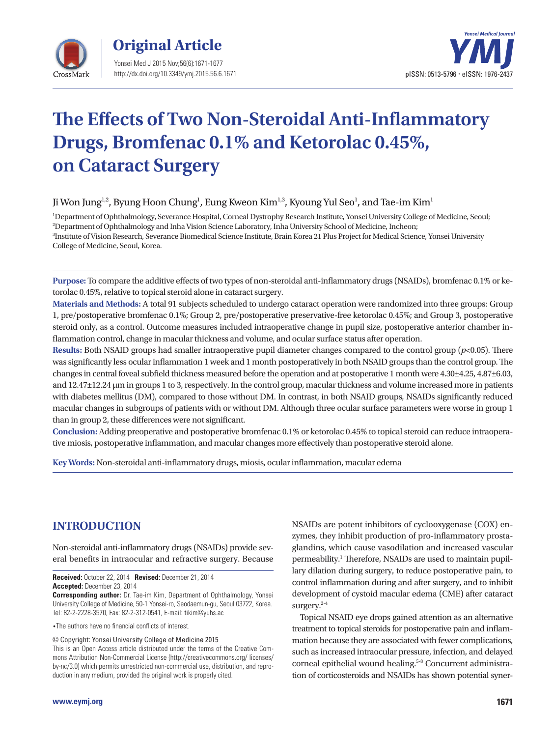



# **The Effects of Two Non-Steroidal Anti-Inflammatory Drugs, Bromfenac 0.1% and Ketorolac 0.45%, on Cataract Surgery**

Ji Won Jung<sup>1,2</sup>, Byung Hoon Chung<sup>1</sup>, Eung Kweon Kim<sup>1,3</sup>, Kyoung Yul Seo<sup>1</sup>, and Tae-im Kim<sup>1</sup>

 Department of Ophthalmology, Severance Hospital, Corneal Dystrophy Research Institute, Yonsei University College of Medicine, Seoul; Department of Ophthalmology and Inha Vision Science Laboratory, Inha University School of Medicine, Incheon; Institute of Vision Research, Severance Biomedical Science Institute, Brain Korea 21 Plus Project for Medical Science, Yonsei University College of Medicine, Seoul, Korea.

**Purpose:** To compare the additive effects of two types of non-steroidal anti-inflammatory drugs (NSAIDs), bromfenac 0.1% or ketorolac 0.45%, relative to topical steroid alone in cataract surgery.

**Materials and Methods:** A total 91 subjects scheduled to undergo cataract operation were randomized into three groups: Group 1, pre/postoperative bromfenac 0.1%; Group 2, pre/postoperative preservative-free ketorolac 0.45%; and Group 3, postoperative steroid only, as a control. Outcome measures included intraoperative change in pupil size, postoperative anterior chamber inflammation control, change in macular thickness and volume, and ocular surface status after operation.

**Results:** Both NSAID groups had smaller intraoperative pupil diameter changes compared to the control group (*p*<0.05). There was significantly less ocular inflammation 1 week and 1 month postoperatively in both NSAID groups than the control group. The changes in central foveal subfield thickness measured before the operation and at postoperative 1 month were 4.30±4.25, 4.87±6.03, and 12.47±12.24 μm in groups 1 to 3, respectively. In the control group, macular thickness and volume increased more in patients with diabetes mellitus (DM), compared to those without DM. In contrast, in both NSAID groups, NSAIDs significantly reduced macular changes in subgroups of patients with or without DM. Although three ocular surface parameters were worse in group 1 than in group 2, these differences were not significant.

**Conclusion:** Adding preoperative and postoperative bromfenac 0.1% or ketorolac 0.45% to topical steroid can reduce intraoperative miosis, postoperative inflammation, and macular changes more effectively than postoperative steroid alone.

**Key Words:** Non-steroidal anti-inflammatory drugs, miosis, ocular inflammation, macular edema

# **INTRODUCTION**

Non-steroidal anti-inflammatory drugs (NSAIDs) provide several benefits in intraocular and refractive surgery. Because

**Received:** October 22, 2014 **Revised:** December 21, 2014 **Accepted:** December 23, 2014

**Corresponding author:** Dr. Tae-im Kim, Department of Ophthalmology, Yonsei University College of Medicine, 50-1 Yonsei-ro, Seodaemun-gu, Seoul 03722, Korea. Tel: 82-2-2228-3570, Fax: 82-2-312-0541, E-mail: tikim@yuhs.ac

•The authors have no financial conflicts of interest.

© Copyright: Yonsei University College of Medicine 2015

This is an Open Access article distributed under the terms of the Creative Commons Attribution Non-Commercial License (http://creativecommons.org/ licenses/ by-nc/3.0) which permits unrestricted non-commercial use, distribution, and reproduction in any medium, provided the original work is properly cited.

NSAIDs are potent inhibitors of cyclooxygenase (COX) enzymes, they inhibit production of pro-inflammatory prostaglandins, which cause vasodilation and increased vascular permeability.<sup>1</sup> Therefore, NSAIDs are used to maintain pupillary dilation during surgery, to reduce postoperative pain, to control inflammation during and after surgery, and to inhibit development of cystoid macular edema (CME) after cataract surgery.<sup>2-4</sup>

Topical NSAID eye drops gained attention as an alternative treatment to topical steroids for postoperative pain and inflammation because they are associated with fewer complications, such as increased intraocular pressure, infection, and delayed corneal epithelial wound healing.<sup>5-8</sup> Concurrent administration of corticosteroids and NSAIDs has shown potential syner-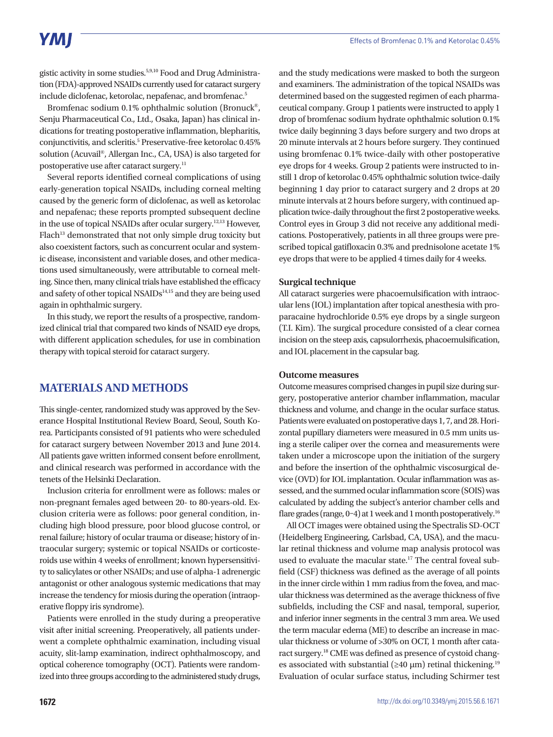gistic activity in some studies.5,9,10 Food and Drug Administration (FDA)-approved NSAIDs currently used for cataract surgery include diclofenac, ketorolac, nepafenac, and bromfenac.<sup>5</sup>

Bromfenac sodium 0.1% ophthalmic solution (Bronuck®, Senju Pharmaceutical Co., Ltd., Osaka, Japan) has clinical indications for treating postoperative inflammation, blepharitis, conjunctivitis, and scleritis.<sup>5</sup> Preservative-free ketorolac 0.45% solution (Acuvail®, Allergan Inc., CA, USA) is also targeted for postoperative use after cataract surgery.11

Several reports identified corneal complications of using early-generation topical NSAIDs, including corneal melting caused by the generic form of diclofenac, as well as ketorolac and nepafenac; these reports prompted subsequent decline in the use of topical NSAIDs after ocular surgery.12,13 However, Flach<sup>13</sup> demonstrated that not only simple drug toxicity but also coexistent factors, such as concurrent ocular and systemic disease, inconsistent and variable doses, and other medications used simultaneously, were attributable to corneal melting. Since then, many clinical trials have established the efficacy and safety of other topical NSAIDs<sup>14,15</sup> and they are being used again in ophthalmic surgery.

In this study, we report the results of a prospective, randomized clinical trial that compared two kinds of NSAID eye drops, with different application schedules, for use in combination therapy with topical steroid for cataract surgery.

# **MATERIALS AND METHODS**

This single-center, randomized study was approved by the Severance Hospital Institutional Review Board, Seoul, South Korea. Participants consisted of 91 patients who were scheduled for cataract surgery between November 2013 and June 2014. All patients gave written informed consent before enrollment, and clinical research was performed in accordance with the tenets of the Helsinki Declaration.

Inclusion criteria for enrollment were as follows: males or non-pregnant females aged between 20- to 80-years-old. Exclusion criteria were as follows: poor general condition, including high blood pressure, poor blood glucose control, or renal failure; history of ocular trauma or disease; history of intraocular surgery; systemic or topical NSAIDs or corticosteroids use within 4 weeks of enrollment; known hypersensitivity to salicylates or other NSAIDs; and use of alpha-1 adrenergic antagonist or other analogous systemic medications that may increase the tendency for miosis during the operation (intraoperative floppy iris syndrome).

Patients were enrolled in the study during a preoperative visit after initial screening. Preoperatively, all patients underwent a complete ophthalmic examination, including visual acuity, slit-lamp examination, indirect ophthalmoscopy, and optical coherence tomography (OCT). Patients were randomized into three groups according to the administered study drugs,

and the study medications were masked to both the surgeon and examiners. The administration of the topical NSAIDs was determined based on the suggested regimen of each pharmaceutical company. Group 1 patients were instructed to apply 1 drop of bromfenac sodium hydrate ophthalmic solution 0.1% twice daily beginning 3 days before surgery and two drops at 20 minute intervals at 2 hours before surgery. They continued using bromfenac 0.1% twice-daily with other postoperative eye drops for 4 weeks. Group 2 patients were instructed to instill 1 drop of ketorolac 0.45% ophthalmic solution twice-daily beginning 1 day prior to cataract surgery and 2 drops at 20 minute intervals at 2 hours before surgery, with continued application twice-daily throughout the first 2 postoperative weeks. Control eyes in Group 3 did not receive any additional medications. Postoperatively, patients in all three groups were prescribed topical gatifloxacin 0.3% and prednisolone acetate 1% eye drops that were to be applied 4 times daily for 4 weeks.

#### **Surgical technique**

All cataract surgeries were phacoemulsification with intraocular lens (IOL) implantation after topical anesthesia with proparacaine hydrochloride 0.5% eye drops by a single surgeon (T.I. Kim). The surgical procedure consisted of a clear cornea incision on the steep axis, capsulorrhexis, phacoemulsification, and IOL placement in the capsular bag.

#### **Outcome measures**

Outcome measures comprised changes in pupil size during surgery, postoperative anterior chamber inflammation, macular thickness and volume, and change in the ocular surface status. Patients were evaluated on postoperative days 1, 7, and 28. Horizontal pupillary diameters were measured in 0.5 mm units using a sterile caliper over the cornea and measurements were taken under a microscope upon the initiation of the surgery and before the insertion of the ophthalmic viscosurgical device (OVD) for IOL implantation. Ocular inflammation was assessed, and the summed ocular inflammation score (SOIS) was calculated by adding the subject's anterior chamber cells and flare grades (range,  $0-4$ ) at 1 week and 1 month postoperatively.<sup>16</sup>

All OCT images were obtained using the Spectralis SD-OCT (Heidelberg Engineering, Carlsbad, CA, USA), and the macular retinal thickness and volume map analysis protocol was used to evaluate the macular state.<sup>17</sup> The central foveal subfield (CSF) thickness was defined as the average of all points in the inner circle within 1 mm radius from the fovea, and macular thickness was determined as the average thickness of five subfields, including the CSF and nasal, temporal, superior, and inferior inner segments in the central 3 mm area. We used the term macular edema (ME) to describe an increase in macular thickness or volume of >30% on OCT, 1 month after cataract surgery.18 CME was defined as presence of cystoid changes associated with substantial ( $\geq 40 \mu m$ ) retinal thickening.<sup>19</sup> Evaluation of ocular surface status, including Schirmer test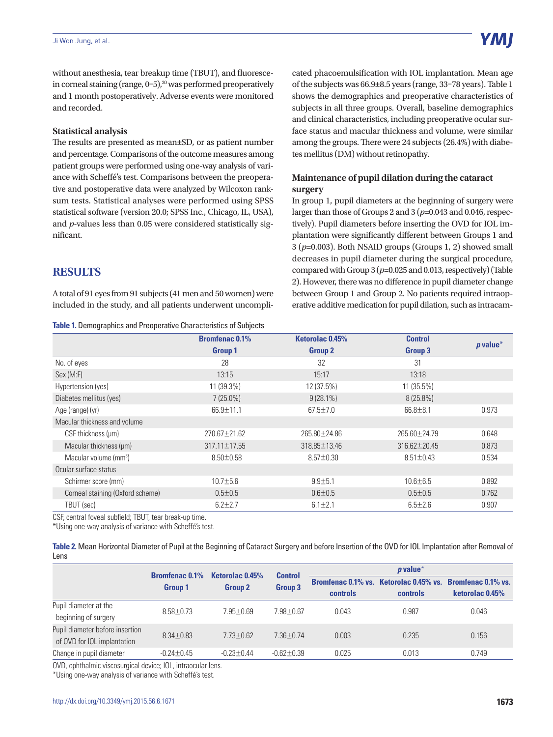without anesthesia, tear breakup time (TBUT), and fluorescein corneal staining (range,  $0-5$ ),<sup>20</sup> was performed preoperatively and 1 month postoperatively. Adverse events were monitored and recorded.

#### **Statistical analysis**

The results are presented as mean±SD, or as patient number and percentage. Comparisons of the outcome measures among patient groups were performed using one-way analysis of variance with Scheffé's test. Comparisons between the preoperative and postoperative data were analyzed by Wilcoxon ranksum tests. Statistical analyses were performed using SPSS statistical software (version 20.0; SPSS Inc., Chicago, IL, USA), and *p*-values less than 0.05 were considered statistically significant.

cated phacoemulsification with IOL implantation. Mean age of the subjects was 66.9±8.5 years (range, 33–78 years). Table 1 shows the demographics and preoperative characteristics of subjects in all three groups. Overall, baseline demographics and clinical characteristics, including preoperative ocular surface status and macular thickness and volume, were similar among the groups. There were 24 subjects (26.4%) with diabetes mellitus (DM) without retinopathy.

# **Maintenance of pupil dilation during the cataract surgery**

In group 1, pupil diameters at the beginning of surgery were larger than those of Groups 2 and 3 (*p*=0.043 and 0.046, respectively). Pupil diameters before inserting the OVD for IOL implantation were significantly different between Groups 1 and 3 (*p*=0.003). Both NSAID groups (Groups 1, 2) showed small decreases in pupil diameter during the surgical procedure, compared with Group 3 (*p*=0.025 and 0.013, respectively) (Table 2). However, there was no difference in pupil diameter change between Group 1 and Group 2. No patients required intraoperative additive medication for pupil dilation, such as intracam-

# **RESULTS**

A total of 91 eyes from 91 subjects (41 men and 50 women) were included in the study, and all patients underwent uncompli-

#### **Table 1.** Demographics and Preoperative Characteristics of Subjects

|                                   | <b>Bromfenac 0.1%</b> | Ketorolac 0.45% | <b>Control</b>  | $p$ value* |
|-----------------------------------|-----------------------|-----------------|-----------------|------------|
|                                   | <b>Group 1</b>        | <b>Group 2</b>  | Group 3         |            |
| No. of eyes                       | 28                    | 32              | 31              |            |
| Sex (M:F)                         | 13:15                 | 15:17           | 13:18           |            |
| Hypertension (yes)                | 11 (39.3%)            | 12 (37.5%)      | 11 (35.5%)      |            |
| Diabetes mellitus (yes)           | $7(25.0\%)$           | $9(28.1\%)$     | $8(25.8\%)$     |            |
| Age (range) (yr)                  | 66.9±11.1             | $67.5 \pm 7.0$  | $66.8 \pm 8.1$  | 0.973      |
| Macular thickness and volume      |                       |                 |                 |            |
| CSF thickness (um)                | 270.67 ± 21.62        | 265.80 ± 24.86  | 265.60±24.79    | 0.648      |
| Macular thickness (µm)            | 317.11±17.55          | 318.85±13.46    | 316.62±20.45    | 0.873      |
| Macular volume (mm <sup>3</sup> ) | $8.50 \pm 0.58$       | $8.57 \pm 0.30$ | $8.51 \pm 0.43$ | 0.534      |
| Ocular surface status             |                       |                 |                 |            |
| Schirmer score (mm)               | $10.7 \pm 5.6$        | $9.9 + 5.1$     | $10.6 \pm 6.5$  | 0.892      |
| Corneal staining (Oxford scheme)  | $0.5 + 0.5$           | $0.6 + 0.5$     | $0.5 + 0.5$     | 0.762      |
| TBUT (sec)                        | $6.2 \pm 2.7$         | $6.1 \pm 2.1$   | $6.5 \pm 2.6$   | 0.907      |

CSF, central foveal subfield; TBUT, tear break-up time.

\*Using one-way analysis of variance with Scheffé's test.

| Table 2. Mean Horizontal Diameter of Pupil at the Beginning of Cataract Surgery and before Insertion of the OVD for IOL Implantation after Removal of |  |
|-------------------------------------------------------------------------------------------------------------------------------------------------------|--|
| Lens                                                                                                                                                  |  |

|                                                                | <b>Bromfenac 0.1%</b><br><b>Group 1</b> |                | $\boldsymbol{p}$ value*<br>Ketorolac 0.45%<br>Control<br>Bromfenac 0.1% vs. Ketorolac 0.45% vs. Bromfenac 0.1% vs.<br><b>Group 3</b><br><b>Group 2</b><br>controls<br>controls |       |       |                 |
|----------------------------------------------------------------|-----------------------------------------|----------------|--------------------------------------------------------------------------------------------------------------------------------------------------------------------------------|-------|-------|-----------------|
|                                                                |                                         |                |                                                                                                                                                                                |       |       | ketorolac 0.45% |
| Pupil diameter at the<br>beginning of surgery                  | $8.58 + 0.73$                           | $7.95 + 0.69$  | $7.98 + 0.67$                                                                                                                                                                  | 0.043 | 0.987 | 0.046           |
| Pupil diameter before insertion<br>of OVD for IOL implantation | $8.34 + 0.83$                           | $7.73 + 0.62$  | $7.36 + 0.74$                                                                                                                                                                  | 0.003 | 0.235 | 0.156           |
| Change in pupil diameter                                       | $-0.24 + 0.45$                          | $-0.23 + 0.44$ | $-0.62 + 0.39$                                                                                                                                                                 | 0.025 | 0.013 | 0.749           |

OVD, ophthalmic viscosurgical device; IOL, intraocular lens.

\*Using one-way analysis of variance with Scheffé's test.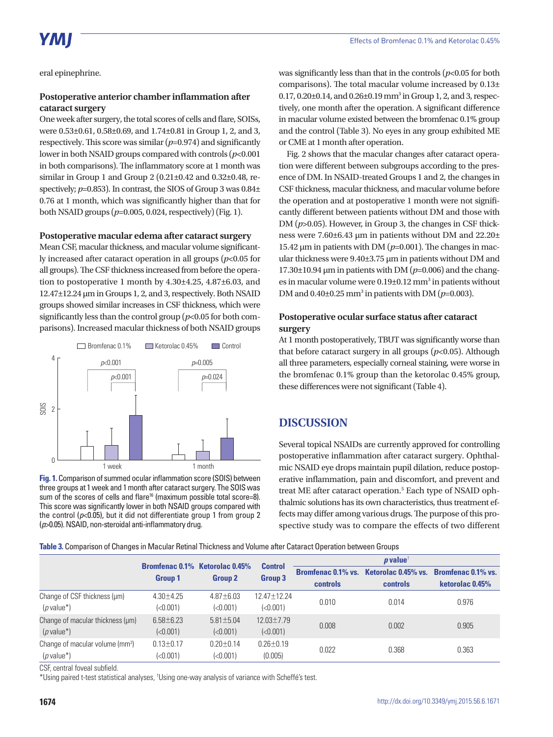eral epinephrine.

# **Postoperative anterior chamber inflammation after cataract surgery**

One week after surgery, the total scores of cells and flare, SOISs, were 0.53±0.61, 0.58±0.69, and 1.74±0.81 in Group 1, 2, and 3, respectively. This score was similar (*p*=0.974) and significantly lower in both NSAID groups compared with controls (*p*<0.001 in both comparisons). The inflammatory score at 1 month was similar in Group 1 and Group 2 (0.21±0.42 and 0.32±0.48, respectively; *p*=0.853). In contrast, the SIOS of Group 3 was 0.84 $\pm$ 0.76 at 1 month, which was significantly higher than that for both NSAID groups (*p*=0.005, 0.024, respectively) (Fig. 1).

### **Postoperative macular edema after cataract surgery**

Mean CSF, macular thickness, and macular volume significantly increased after cataract operation in all groups (*p*<0.05 for all groups). The CSF thickness increased from before the operation to postoperative 1 month by 4.30±4.25, 4.87±6.03, and 12.47±12.24 μm in Groups 1, 2, and 3, respectively. Both NSAID groups showed similar increases in CSF thickness, which were significantly less than the control group (*p*<0.05 for both comparisons). Increased macular thickness of both NSAID groups



**Fig. 1.** Comparison of summed ocular inflammation score (SOIS) between three groups at 1 week and 1 month after cataract surgery. The SOIS was sum of the scores of cells and flare<sup>16</sup> (maximum possible total score=8). This score was significantly lower in both NSAID groups compared with the control (*p*<0.05), but it did not differentiate group 1 from group 2 (*p*>0.05). NSAID, non-steroidal anti-inflammatory drug.

was significantly less than that in the controls  $(p<0.05$  for both comparisons). The total macular volume increased by 0.13± 0.17, 0.20±0.14, and 0.26±0.19 mm<sup>3</sup> in Group 1, 2, and 3, respectively, one month after the operation. A significant difference in macular volume existed between the bromfenac 0.1% group and the control (Table 3). No eyes in any group exhibited ME or CME at 1 month after operation.

Fig. 2 shows that the macular changes after cataract operation were different between subgroups according to the presence of DM. In NSAID-treated Groups 1 and 2, the changes in CSF thickness, macular thickness, and macular volume before the operation and at postoperative 1 month were not significantly different between patients without DM and those with DM ( $p > 0.05$ ). However, in Group 3, the changes in CSF thickness were 7.60±6.43 μm in patients without DM and 22.20± 15.42 μm in patients with DM (*p*=0.001). The changes in macular thickness were 9.40±3.75 μm in patients without DM and  $17.30\pm10.94$  µm in patients with DM ( $p=0.006$ ) and the changes in macular volume were  $0.19\pm0.12$  mm<sup>3</sup> in patients without DM and  $0.40\pm0.25$  mm<sup>3</sup> in patients with DM ( $p=0.003$ ).

## **Postoperative ocular surface status after cataract surgery**

At 1 month postoperatively, TBUT was significantly worse than that before cataract surgery in all groups (*p*<0.05). Although all three parameters, especially corneal staining, were worse in the bromfenac 0.1% group than the ketorolac 0.45% group, these differences were not significant (Table 4).

# **DISCUSSION**

Several topical NSAIDs are currently approved for controlling postoperative inflammation after cataract surgery. Ophthalmic NSAID eye drops maintain pupil dilation, reduce postoperative inflammation, pain and discomfort, and prevent and treat ME after cataract operation.<sup>5</sup> Each type of NSAID ophthalmic solutions has its own characteristics, thus treatment effects may differ among various drugs. The purpose of this prospective study was to compare the effects of two different

**Table 3.** Comparison of Changes in Macular Retinal Thickness and Volume after Cataract Operation between Groups

|                                             |                 | <b>Bromfenac 0.1% Ketorolac 0.45%</b><br><b>Group 2</b> | <b>Control</b><br><b>Group 3</b> | $p$ value <sup>t</sup> |                                        |                           |
|---------------------------------------------|-----------------|---------------------------------------------------------|----------------------------------|------------------------|----------------------------------------|---------------------------|
|                                             |                 |                                                         |                                  |                        | Bromfenac 0.1% vs. Ketorolac 0.45% vs. | <b>Bromfenac 0.1% vs.</b> |
|                                             | <b>Group 1</b>  |                                                         |                                  | <b>controls</b>        | controls                               | ketorolac 0.45%           |
| Change of CSF thickness (um)                | $4.30 \pm 4.25$ | $4.87 \pm 6.03$                                         | 12.47±12.24                      | 0.010                  | 0.014                                  | 0.976                     |
| $(p$ value*)                                | (<0.001)        | (<0.001)                                                | (<0.001)                         |                        |                                        |                           |
| Change of macular thickness (µm)            | $6.58 \pm 6.23$ | $5.81 \pm 5.04$                                         | $12.03 \pm 7.79$                 | 0.008                  | 0.002                                  | 0.905                     |
| $(p$ value*)                                | (<0.001)        | (<0.001)                                                | (<0.001)                         |                        |                                        |                           |
| Change of macular volume (mm <sup>3</sup> ) | $0.13 \pm 0.17$ | $0.20 \pm 0.14$                                         | $0.26 \pm 0.19$                  | 0.022                  | 0.368                                  | 0.363                     |
| $(p$ value*)                                | (<0.001)        | (<0.001)                                                | (0.005)                          |                        |                                        |                           |

CSF, central foveal subfield.

\*Using paired t-test statistical analyses, <sup>†</sup>Using one-way analysis of variance with Scheffé's test.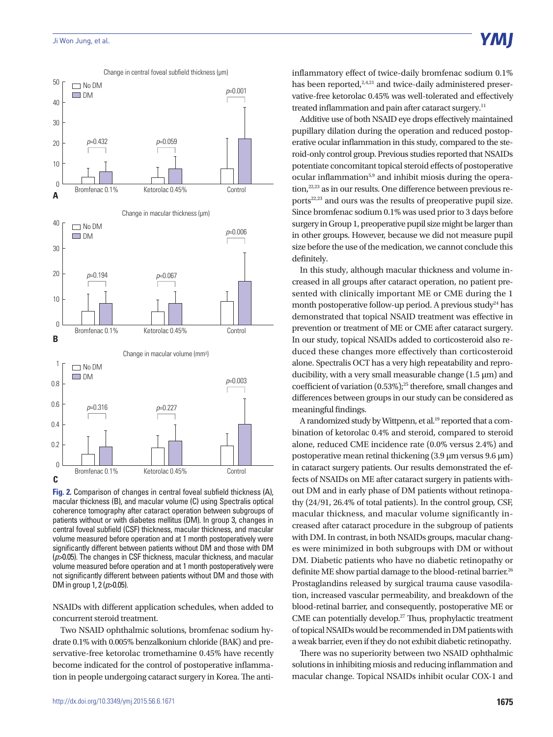

**Fig. 2.** Comparison of changes in central foveal subfield thickness (A), macular thickness (B), and macular volume (C) using Spectralis optical coherence tomography after cataract operation between subgroups of patients without or with diabetes mellitus (DM). In group 3, changes in central foveal subfield (CSF) thickness, macular thickness, and macular volume measured before operation and at 1 month postoperatively were significantly different between patients without DM and those with DM (*p*>0.05). The changes in CSF thickness, macular thickness, and macular volume measured before operation and at 1 month postoperatively were not significantly different between patients without DM and those with DM in group 1, 2 (*p*>0.05).

NSAIDs with different application schedules, when added to concurrent steroid treatment.

Two NSAID ophthalmic solutions, bromfenac sodium hydrate 0.1% with 0.005% benzalkonium chloride (BAK) and preservative-free ketorolac tromethamine 0.45% have recently become indicated for the control of postoperative inflammation in people undergoing cataract surgery in Korea. The antiinflammatory effect of twice-daily bromfenac sodium 0.1% has been reported,<sup>2,4,21</sup> and twice-daily administered preservative-free ketorolac 0.45% was well-tolerated and effectively treated inflammation and pain after cataract surgery.<sup>11</sup>

Additive use of both NSAID eye drops effectively maintained pupillary dilation during the operation and reduced postoperative ocular inflammation in this study, compared to the steroid-only control group. Previous studies reported that NSAIDs potentiate concomitant topical steroid effects of postoperative ocular inflammation<sup>5,9</sup> and inhibit miosis during the operation,<sup>22,23</sup> as in our results. One difference between previous reports<sup>22,23</sup> and ours was the results of preoperative pupil size. Since bromfenac sodium 0.1% was used prior to 3 days before surgery in Group 1, preoperative pupil size might be larger than in other groups. However, because we did not measure pupil size before the use of the medication, we cannot conclude this definitely.

In this study, although macular thickness and volume increased in all groups after cataract operation, no patient presented with clinically important ME or CME during the 1 month postoperative follow-up period. A previous study<sup>24</sup> has demonstrated that topical NSAID treatment was effective in prevention or treatment of ME or CME after cataract surgery. In our study, topical NSAIDs added to corticosteroid also reduced these changes more effectively than corticosteroid alone. Spectralis OCT has a very high repeatability and reproducibility, with a very small measurable change (1.5 μm) and coefficient of variation  $(0.53\%)$ ;<sup>25</sup> therefore, small changes and differences between groups in our study can be considered as meaningful findings.

A randomized study by Wittpenn, et al.<sup>19</sup> reported that a combination of ketorolac 0.4% and steroid, compared to steroid alone, reduced CME incidence rate (0.0% versus 2.4%) and postoperative mean retinal thickening (3.9 μm versus 9.6 μm) in cataract surgery patients. Our results demonstrated the effects of NSAIDs on ME after cataract surgery in patients without DM and in early phase of DM patients without retinopathy (24/91, 26.4% of total patients). In the control group, CSF, macular thickness, and macular volume significantly increased after cataract procedure in the subgroup of patients with DM. In contrast, in both NSAIDs groups, macular changes were minimized in both subgroups with DM or without DM. Diabetic patients who have no diabetic retinopathy or definite ME show partial damage to the blood-retinal barrier.<sup>26</sup> Prostaglandins released by surgical trauma cause vasodilation, increased vascular permeability, and breakdown of the blood-retinal barrier, and consequently, postoperative ME or CME can potentially develop.<sup>27</sup> Thus, prophylactic treatment of topical NSAIDs would be recommended in DM patients with a weak barrier, even if they do not exhibit diabetic retinopathy.

There was no superiority between two NSAID ophthalmic solutions in inhibiting miosis and reducing inflammation and macular change. Topical NSAIDs inhibit ocular COX-1 and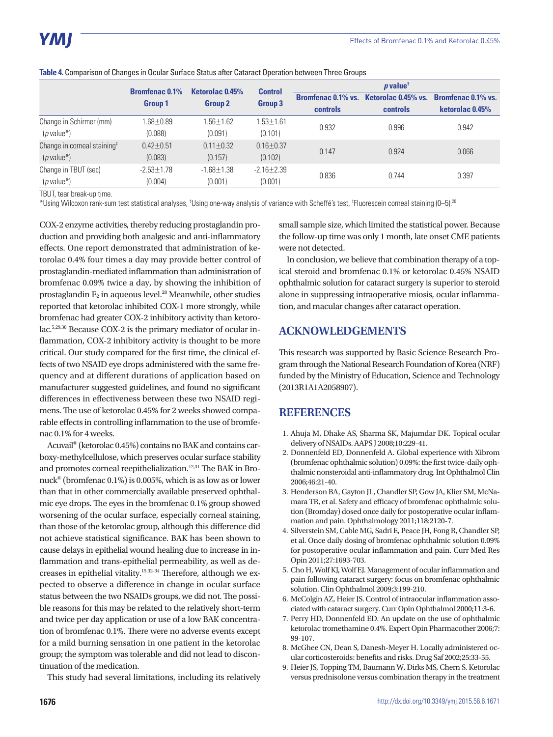|                                         | <b>Bromfenac 0.1%</b><br><b>Group 1</b> | <b>Control</b><br>Ketorolac 0.45%<br><b>Group 2</b> |                 | $\boldsymbol{p}$ value <sup>t</sup> |                                                           |                 |  |
|-----------------------------------------|-----------------------------------------|-----------------------------------------------------|-----------------|-------------------------------------|-----------------------------------------------------------|-----------------|--|
|                                         |                                         |                                                     | Group 3         |                                     | Bromfenac 0.1% vs. Ketorolac 0.45% vs. Bromfenac 0.1% vs. |                 |  |
|                                         |                                         |                                                     |                 | controls                            | controls                                                  | ketorolac 0.45% |  |
| Change in Schirmer (mm)                 | $1.68 + 0.89$                           | $1.56 + 1.62$                                       | $1.53 + 1.61$   | 0.932                               | 0.996                                                     | 0.942           |  |
| $(p$ value*)                            | (0.088)                                 | (0.091)                                             | (0.101)         |                                     |                                                           |                 |  |
| Change in corneal staining <sup>#</sup> | $0.42 + 0.51$                           | $0.11 + 0.32$                                       | $0.16 \pm 0.37$ | 0.147                               | 0.924                                                     | 0.066           |  |
| $(p$ value*)                            | (0.083)                                 | (0.157)                                             | (0.102)         |                                     |                                                           |                 |  |
| Change in TBUT (sec)                    | $-2.53 + 1.78$                          | $-1.68 + 1.38$                                      | $-2.16 + 2.39$  | 0.836                               | 0.744                                                     | 0.397           |  |
| $(p$ value*)                            | (0.004)                                 | (0.001)                                             | (0.001)         |                                     |                                                           |                 |  |

#### **Table 4.** Comparison of Changes in Ocular Surface Status after Cataract Operation between Three Groups

TBUT, tear break-up time.

\*Using Wilcoxon rank-sum test statistical analyses, <sup>†</sup>Using one-way analysis of variance with Scheffé's test, <sup>‡</sup>Fluorescein corneal staining (0–5).<sup>20</sup>

COX-2 enzyme activities, thereby reducing prostaglandin production and providing both analgesic and anti-inflammatory effects. One report demonstrated that administration of ketorolac 0.4% four times a day may provide better control of prostaglandin-mediated inflammation than administration of bromfenac 0.09% twice a day, by showing the inhibition of prostaglandin  $E_2$  in aqueous level.<sup>28</sup> Meanwhile, other studies reported that ketorolac inhibited COX-1 more strongly, while bromfenac had greater COX-2 inhibitory activity than ketorolac.5,29,30 Because COX-2 is the primary mediator of ocular inflammation, COX-2 inhibitory activity is thought to be more critical. Our study compared for the first time, the clinical effects of two NSAID eye drops administered with the same frequency and at different durations of application based on manufacturer suggested guidelines, and found no significant differences in effectiveness between these two NSAID regimens. The use of ketorolac 0.45% for 2 weeks showed comparable effects in controlling inflammation to the use of bromfenac 0.1% for 4 weeks.

Acuvail® (ketorolac 0.45%) contains no BAK and contains carboxy-methylcellulose, which preserves ocular surface stability and promotes corneal reepithelialization.<sup>12,31</sup> The BAK in Bronuck® (bromfenac 0.1%) is 0.005%, which is as low as or lower than that in other commercially available preserved ophthalmic eye drops. The eyes in the bromfenac 0.1% group showed worsening of the ocular surface, especially corneal staining, than those of the ketorolac group, although this difference did not achieve statistical significance. BAK has been shown to cause delays in epithelial wound healing due to increase in inflammation and trans-epithelial permeability, as well as decreases in epithelial vitality.15,32-34 Therefore, although we expected to observe a difference in change in ocular surface status between the two NSAIDs groups, we did not. The possible reasons for this may be related to the relatively short-term and twice per day application or use of a low BAK concentration of bromfenac 0.1%. There were no adverse events except for a mild burning sensation in one patient in the ketorolac group; the symptom was tolerable and did not lead to discontinuation of the medication.

This study had several limitations, including its relatively

small sample size, which limited the statistical power. Because the follow-up time was only 1 month, late onset CME patients were not detected.

In conclusion, we believe that combination therapy of a topical steroid and bromfenac 0.1% or ketorolac 0.45% NSAID ophthalmic solution for cataract surgery is superior to steroid alone in suppressing intraoperative miosis, ocular inflammation, and macular changes after cataract operation.

# **ACKNOWLEDGEMENTS**

This research was supported by Basic Science Research Program through the National Research Foundation of Korea (NRF) funded by the Ministry of Education, Science and Technology (2013R1A1A2058907).

# **REFERENCES**

- 1. Ahuja M, Dhake AS, Sharma SK, Majumdar DK. Topical ocular delivery of NSAIDs. AAPS J 2008;10:229-41.
- 2. Donnenfeld ED, Donnenfeld A. Global experience with Xibrom (bromfenac ophthalmic solution) 0.09%: the first twice-daily ophthalmic nonsteroidal anti-inflammatory drug. Int Ophthalmol Clin 2006;46:21-40.
- 3. Henderson BA, Gayton JL, Chandler SP, Gow JA, Klier SM, McNamara TR, et al. Safety and efficacy of bromfenac ophthalmic solution (Bromday) dosed once daily for postoperative ocular inflammation and pain. Ophthalmology 2011;118:2120-7.
- 4. Silverstein SM, Cable MG, Sadri E, Peace JH, Fong R, Chandler SP, et al. Once daily dosing of bromfenac ophthalmic solution 0.09% for postoperative ocular inflammation and pain. Curr Med Res Opin 2011;27:1693-703.
- 5. Cho H, Wolf KJ, Wolf EJ. Management of ocular inflammation and pain following cataract surgery: focus on bromfenac ophthalmic solution. Clin Ophthalmol 2009;3:199-210.
- 6. McColgin AZ, Heier JS. Control of intraocular inflammation associated with cataract surgery. Curr Opin Ophthalmol 2000;11:3-6.
- 7. Perry HD, Donnenfeld ED. An update on the use of ophthalmic ketorolac tromethamine 0.4%. Expert Opin Pharmacother 2006;7: 99-107.
- 8. McGhee CN, Dean S, Danesh-Meyer H. Locally administered ocular corticosteroids: benefits and risks. Drug Saf 2002;25:33-55.
- 9. Heier JS, Topping TM, Baumann W, Dirks MS, Chern S. Ketorolac versus prednisolone versus combination therapy in the treatment